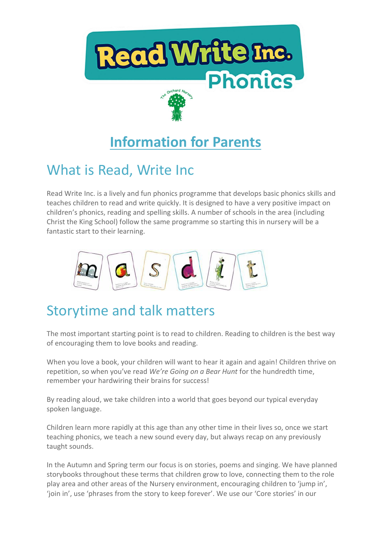

# **Information for Parents**

### What is Read, Write Inc

Read Write Inc. is a lively and fun phonics programme that develops basic phonics skills and teaches children to read and write quickly. It is designed to have a very positive impact on children's phonics, reading and spelling skills. A number of schools in the area (including Christ the King School) follow the same programme so starting this in nursery will be a fantastic start to their learning.



### Storytime and talk matters

The most important starting point is to read to children. Reading to children is the best way of encouraging them to love books and reading.

When you love a book, your children will want to hear it again and again! Children thrive on repetition, so when you've read *We're Going on a Bear Hunt* for the hundredth time, remember your hardwiring their brains for success!

By reading aloud, we take children into a world that goes beyond our typical everyday spoken language.

Children learn more rapidly at this age than any other time in their lives so, once we start teaching phonics, we teach a new sound every day, but always recap on any previously taught sounds.

In the Autumn and Spring term our focus is on stories, poems and singing. We have planned storybooks throughout these terms that children grow to love, connecting them to the role play area and other areas of the Nursery environment, encouraging children to 'jump in', 'join in', use 'phrases from the story to keep forever'. We use our 'Core stories' in our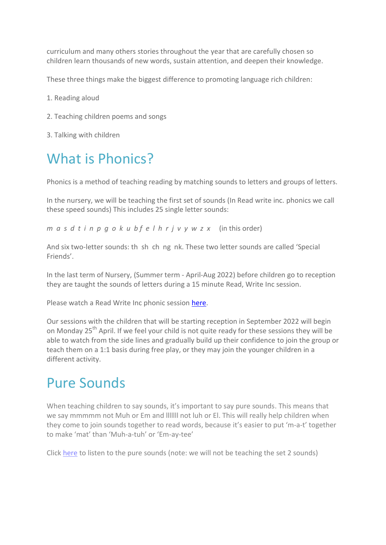curriculum and many others stories throughout the year that are carefully chosen so children learn thousands of new words, sustain attention, and deepen their knowledge.

These three things make the biggest difference to promoting language rich children:

- 1. Reading aloud
- 2. Teaching children poems and songs
- 3. Talking with children

# What is Phonics?

Phonics is a method of teaching reading by matching sounds to letters and groups of letters.

In the nursery, we will be teaching the first set of sounds (In Read write inc. phonics we call these speed sounds) This includes 25 single letter sounds:

*m a s d t i n p g o k u b f e l h r j v y w z x* (in this order)

And six two-letter sounds: th sh ch ng nk. These two letter sounds are called 'Special Friends'.

In the last term of Nursery, (Summer term - April-Aug 2022) before children go to reception they are taught the sounds of letters during a 15 minute Read, Write Inc session.

Please watch a Read Write Inc phonic session [here.](https://www.youtube.com/watch?v=pdBCtI3G1Lc&t=134s)

Our sessions with the children that will be starting reception in September 2022 will begin on Monday 25<sup>th</sup> April. If we feel your child is not quite ready for these sessions they will be able to watch from the side lines and gradually build up their confidence to join the group or teach them on a 1:1 basis during free play, or they may join the younger children in a different activity.

### Pure Sounds

When teaching children to say sounds, it's important to say pure sounds. This means that we say mmmmm not Muh or Em and lllllll not luh or El. This will really help children when they come to join sounds together to read words, because it's easier to put 'm-a-t' together to make 'mat' than 'Muh-a-tuh' or 'Em-ay-tee'

Click [here](https://www.youtube.com/watch?v=TkXcabDUg7Q) to listen to the pure sounds (note: we will not be teaching the set 2 sounds)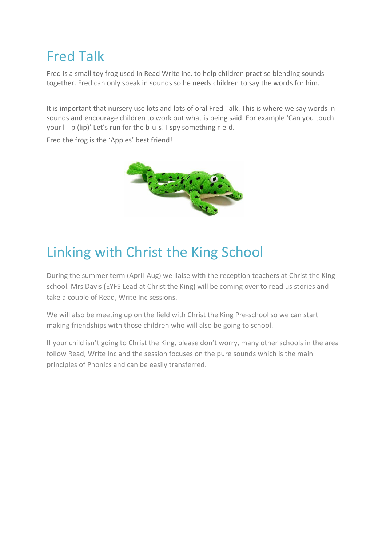# Fred Talk

Fred is a small toy frog used in Read Write inc. to help children practise blending sounds together. Fred can only speak in sounds so he needs children to say the words for him.

It is important that nursery use lots and lots of oral Fred Talk. This is where we say words in sounds and encourage children to work out what is being said. For example 'Can you touch your l-i-p (lip)' Let's run for the b-u-s! I spy something r-e-d.

Fred the frog is the 'Apples' best friend!



## Linking with Christ the King School

During the summer term (April-Aug) we liaise with the reception teachers at Christ the King school. Mrs Davis (EYFS Lead at Christ the King) will be coming over to read us stories and take a couple of Read, Write Inc sessions.

We will also be meeting up on the field with Christ the King Pre-school so we can start making friendships with those children who will also be going to school.

If your child isn't going to Christ the King, please don't worry, many other schools in the area follow Read, Write Inc and the session focuses on the pure sounds which is the main principles of Phonics and can be easily transferred.